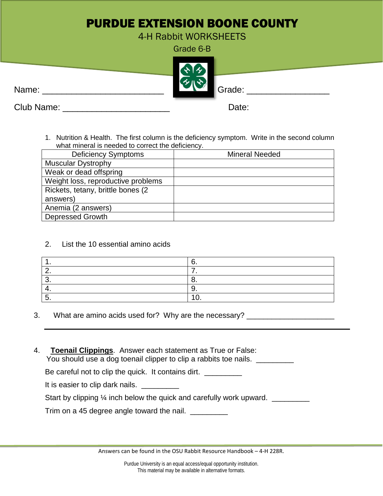## PURDUE EXTENSION BOONE COUNTY

4-H Rabbit WORKSHEETS

Grade 6-B



Club Name: \_\_\_\_\_\_\_\_\_\_\_\_\_\_\_\_\_\_\_\_\_\_ Date:

1. Nutrition & Health. The first column is the deficiency symptom. Write in the second column what mineral is needed to correct the deficiency.

| <b>Deficiency Symptoms</b>         | <b>Mineral Needed</b> |
|------------------------------------|-----------------------|
| <b>Muscular Dystrophy</b>          |                       |
| Weak or dead offspring             |                       |
| Weight loss, reproductive problems |                       |
| Rickets, tetany, brittle bones (2) |                       |
| answers)                           |                       |
| Anemia (2 answers)                 |                       |
| <b>Depressed Growth</b>            |                       |

2. List the 10 essential amino acids

| ,, |
|----|
|    |
| ັ. |
| ັ. |
|    |

- 3. What are amino acids used for? Why are the necessary? \_\_\_\_\_\_\_\_\_\_\_\_\_\_\_\_\_\_\_\_\_\_\_
- 4. **Toenail Clippings**. Answer each statement as True or False: You should use a dog toenail clipper to clip a rabbits toe nails. \_\_\_\_\_\_\_\_\_\_\_\_\_

Be careful not to clip the quick. It contains dirt.

It is easier to clip dark nails. \_\_\_\_\_\_\_\_\_

Start by clipping 1/4 inch below the quick and carefully work upward.

Trim on a 45 degree angle toward the nail.

Answers can be found in the OSU Rabbit Resource Handbook – 4-H 228R.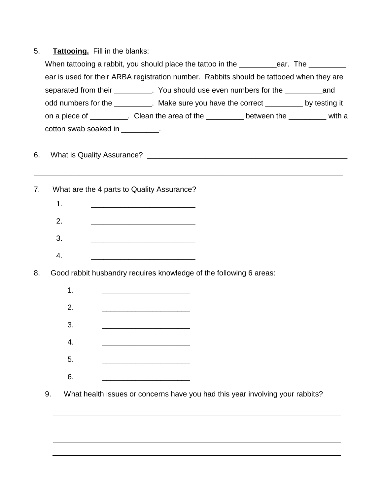| 5. | <b>Tattooing.</b> Fill in the blanks: |
|----|---------------------------------------|
|----|---------------------------------------|

|    | When tattooing a rabbit, you should place the tattoo in the __________ear. The _________                                   |
|----|----------------------------------------------------------------------------------------------------------------------------|
|    | ear is used for their ARBA registration number. Rabbits should be tattooed when they are                                   |
|    | separated from their _________. You should use even numbers for the ___________and                                         |
|    | odd numbers for the _________. Make sure you have the correct _________ by testing it                                      |
|    | on a piece of __________. Clean the area of the __________ between the _________ with a                                    |
|    | cotton swab soaked in __________.                                                                                          |
|    |                                                                                                                            |
| 6. |                                                                                                                            |
|    |                                                                                                                            |
| 7. | What are the 4 parts to Quality Assurance?                                                                                 |
|    | 1.                                                                                                                         |
|    | 2.<br><u> 1980 - Johann John Harry Hermann (f. 1980)</u>                                                                   |
|    | 3.<br><u> 1980 - Johann Stein, marwolaethau a bhann an t-Amhain an t-Amhain an t-Amhain an t-Amhain an t-Amhain an t-A</u> |
|    | 4.                                                                                                                         |
|    |                                                                                                                            |
| 8. | Good rabbit husbandry requires knowledge of the following 6 areas:                                                         |
|    | 1.<br><u> 1990 - Johann John Stone, mars et al. (</u>                                                                      |
|    | 2.                                                                                                                         |

- 3. <u>\_\_\_\_\_\_\_\_\_\_\_\_\_\_\_\_\_\_\_\_\_\_</u>
- 4. \_\_\_\_\_\_\_\_\_\_\_\_\_\_\_\_\_\_\_\_\_
- 5. \_\_\_\_\_\_\_\_\_\_\_\_\_\_\_\_\_\_\_\_\_
- 6. \_\_\_\_\_\_\_\_\_\_\_\_\_\_\_\_\_\_\_\_\_
- 9. What health issues or concerns have you had this year involving your rabbits?